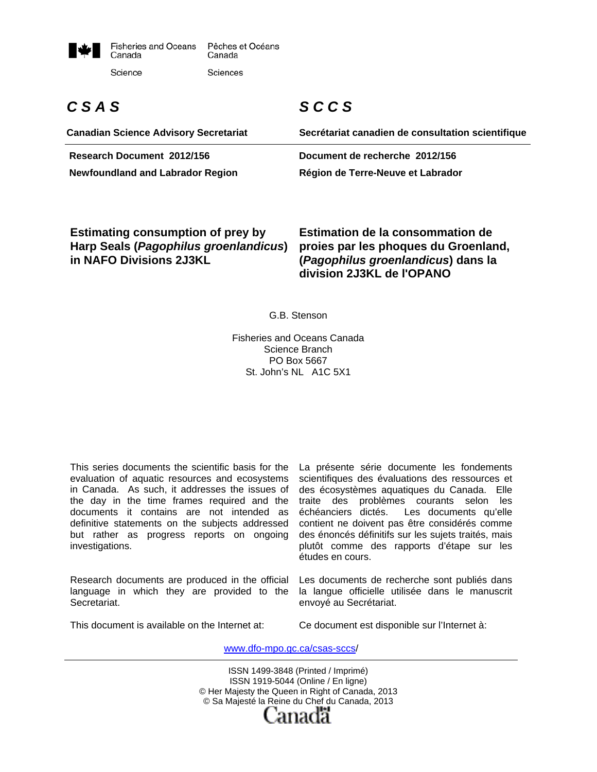

# *C S A S*

**Canadian Science Advisory Secretariat** 

# *S C C S*

**Secrétariat canadien de consultation scientifique Research Document 2012/156 Document de recherche 2012/156 Newfoundland and Labrador Region Région de Terre-Neuve et Labrador** 

**Estimating consumption of prey by Harp Seals (***Pagophilus groenlandicus***) in NAFO Divisions 2J3KL**

**Estimation de la consommation de proies par les phoques du Groenland, (***Pagophilus groenlandicus***) dans la division 2J3KL de l'OPANO** 

G.B. Stenson

Fisheries and Oceans Canada Science Branch PO Box 5667 St. John's NL A1C 5X1

This series documents the scientific basis for the evaluation of aquatic resources and ecosystems in Canada. As such, it addresses the issues of the day in the time frames required and the documents it contains are not intended as definitive statements on the subjects addressed but rather as progress reports on ongoing investigations.

Research documents are produced in the official language in which they are provided to the Secretariat.

La présente série documente les fondements scientifiques des évaluations des ressources et des écosystèmes aquatiques du Canada. Elle traite des problèmes courants selon les échéanciers dictés. Les documents qu'elle contient ne doivent pas être considérés comme des énoncés définitifs sur les sujets traités, mais plutôt comme des rapports d'étape sur les études en cours.

Les documents de recherche sont publiés dans la langue officielle utilisée dans le manuscrit envoyé au Secrétariat.

This document is available on the Internet at:

Ce document est disponible sur l'Internet à:

www.dfo-mpo.gc.ca/csas-sccs/

ISSN 1499-3848 (Printed / Imprimé) ISSN 1919-5044 (Online / En ligne) © Her Majesty the Queen in Right of Canada, 2013 © Sa Majesté la Reine du Chef du Canada, 2013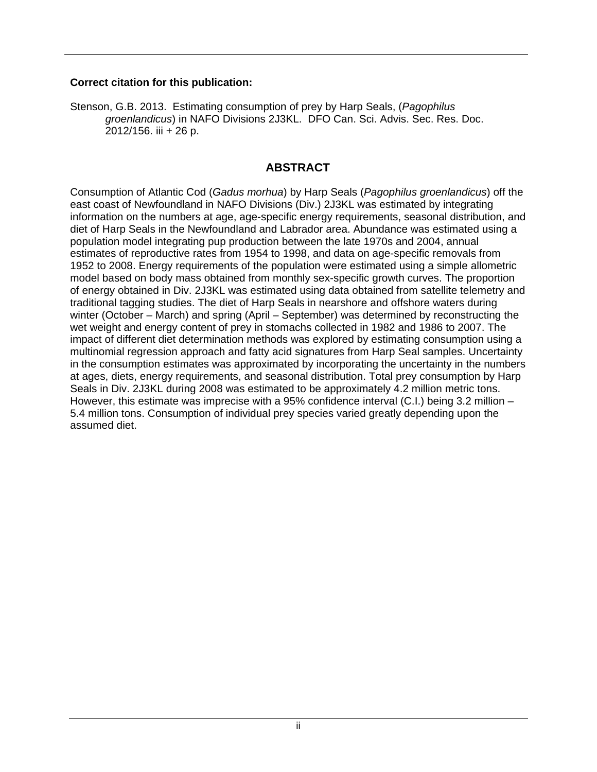#### **Correct citation for this publication:**

Stenson, G.B. 2013. Estimating consumption of prey by Harp Seals, (*Pagophilus groenlandicus*) in NAFO Divisions 2J3KL. DFO Can. Sci. Advis. Sec. Res. Doc. 2012/156. iii + 26 p.

#### **ABSTRACT**

Consumption of Atlantic Cod (*Gadus morhua*) by Harp Seals (*Pagophilus groenlandicus*) off the east coast of Newfoundland in NAFO Divisions (Div.) 2J3KL was estimated by integrating information on the numbers at age, age-specific energy requirements, seasonal distribution, and diet of Harp Seals in the Newfoundland and Labrador area. Abundance was estimated using a population model integrating pup production between the late 1970s and 2004, annual estimates of reproductive rates from 1954 to 1998, and data on age-specific removals from 1952 to 2008. Energy requirements of the population were estimated using a simple allometric model based on body mass obtained from monthly sex-specific growth curves. The proportion of energy obtained in Div. 2J3KL was estimated using data obtained from satellite telemetry and traditional tagging studies. The diet of Harp Seals in nearshore and offshore waters during winter (October – March) and spring (April – September) was determined by reconstructing the wet weight and energy content of prey in stomachs collected in 1982 and 1986 to 2007. The impact of different diet determination methods was explored by estimating consumption using a multinomial regression approach and fatty acid signatures from Harp Seal samples. Uncertainty in the consumption estimates was approximated by incorporating the uncertainty in the numbers at ages, diets, energy requirements, and seasonal distribution. Total prey consumption by Harp Seals in Div. 2J3KL during 2008 was estimated to be approximately 4.2 million metric tons. However, this estimate was imprecise with a 95% confidence interval (C.I.) being 3.2 million – 5.4 million tons. Consumption of individual prey species varied greatly depending upon the assumed diet.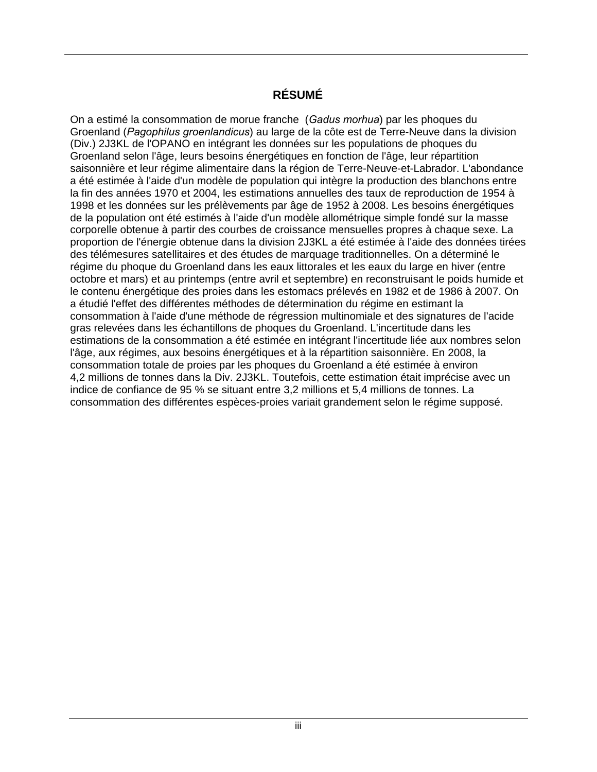# **RÉSUMÉ**

On a estimé la consommation de morue franche (*Gadus morhua*) par les phoques du Groenland (*Pagophilus groenlandicus*) au large de la côte est de Terre-Neuve dans la division (Div.) 2J3KL de l'OPANO en intégrant les données sur les populations de phoques du Groenland selon l'âge, leurs besoins énergétiques en fonction de l'âge, leur répartition saisonnière et leur régime alimentaire dans la région de Terre-Neuve-et-Labrador. L'abondance a été estimée à l'aide d'un modèle de population qui intègre la production des blanchons entre la fin des années 1970 et 2004, les estimations annuelles des taux de reproduction de 1954 à 1998 et les données sur les prélèvements par âge de 1952 à 2008. Les besoins énergétiques de la population ont été estimés à l'aide d'un modèle allométrique simple fondé sur la masse corporelle obtenue à partir des courbes de croissance mensuelles propres à chaque sexe. La proportion de l'énergie obtenue dans la division 2J3KL a été estimée à l'aide des données tirées des télémesures satellitaires et des études de marquage traditionnelles. On a déterminé le régime du phoque du Groenland dans les eaux littorales et les eaux du large en hiver (entre octobre et mars) et au printemps (entre avril et septembre) en reconstruisant le poids humide et le contenu énergétique des proies dans les estomacs prélevés en 1982 et de 1986 à 2007. On a étudié l'effet des différentes méthodes de détermination du régime en estimant la consommation à l'aide d'une méthode de régression multinomiale et des signatures de l'acide gras relevées dans les échantillons de phoques du Groenland. L'incertitude dans les estimations de la consommation a été estimée en intégrant l'incertitude liée aux nombres selon l'âge, aux régimes, aux besoins énergétiques et à la répartition saisonnière. En 2008, la consommation totale de proies par les phoques du Groenland a été estimée à environ 4,2 millions de tonnes dans la Div. 2J3KL. Toutefois, cette estimation était imprécise avec un indice de confiance de 95 % se situant entre 3,2 millions et 5,4 millions de tonnes. La consommation des différentes espèces-proies variait grandement selon le régime supposé.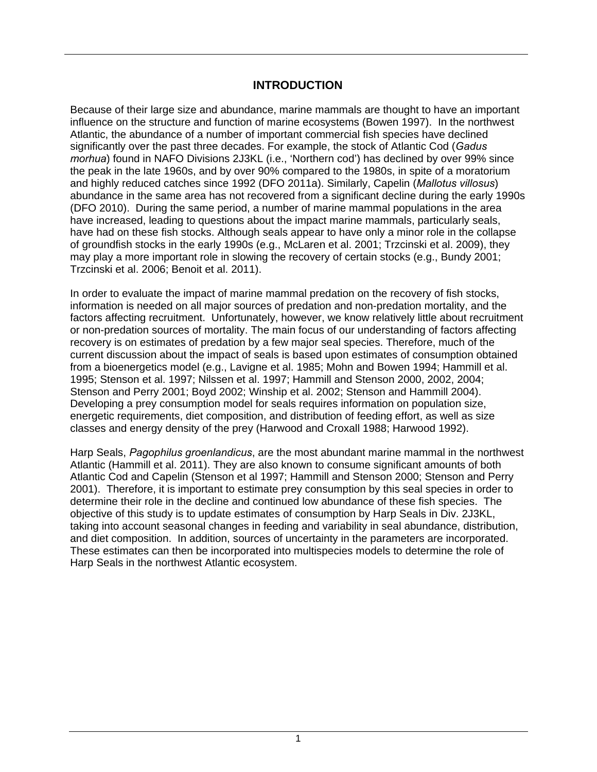#### **INTRODUCTION**

Because of their large size and abundance, marine mammals are thought to have an important influence on the structure and function of marine ecosystems (Bowen 1997). In the northwest Atlantic, the abundance of a number of important commercial fish species have declined significantly over the past three decades. For example, the stock of Atlantic Cod (*Gadus morhua*) found in NAFO Divisions 2J3KL (i.e., 'Northern cod') has declined by over 99% since the peak in the late 1960s, and by over 90% compared to the 1980s, in spite of a moratorium and highly reduced catches since 1992 (DFO 2011a). Similarly, Capelin (*Mallotus villosus*) abundance in the same area has not recovered from a significant decline during the early 1990s (DFO 2010). During the same period, a number of marine mammal populations in the area have increased, leading to questions about the impact marine mammals, particularly seals, have had on these fish stocks. Although seals appear to have only a minor role in the collapse of groundfish stocks in the early 1990s (e.g., McLaren et al. 2001; Trzcinski et al. 2009), they may play a more important role in slowing the recovery of certain stocks (e.g., Bundy 2001; Trzcinski et al. 2006; Benoit et al. 2011).

In order to evaluate the impact of marine mammal predation on the recovery of fish stocks, information is needed on all major sources of predation and non-predation mortality, and the factors affecting recruitment. Unfortunately, however, we know relatively little about recruitment or non-predation sources of mortality. The main focus of our understanding of factors affecting recovery is on estimates of predation by a few major seal species. Therefore, much of the current discussion about the impact of seals is based upon estimates of consumption obtained from a bioenergetics model (e.g., Lavigne et al. 1985; Mohn and Bowen 1994; Hammill et al. 1995; Stenson et al. 1997; Nilssen et al. 1997; Hammill and Stenson 2000, 2002, 2004; Stenson and Perry 2001; Boyd 2002; Winship et al. 2002; Stenson and Hammill 2004). Developing a prey consumption model for seals requires information on population size, energetic requirements, diet composition, and distribution of feeding effort, as well as size classes and energy density of the prey (Harwood and Croxall 1988; Harwood 1992).

Harp Seals, *Pagophilus groenlandicus*, are the most abundant marine mammal in the northwest Atlantic (Hammill et al. 2011). They are also known to consume significant amounts of both Atlantic Cod and Capelin (Stenson et al 1997; Hammill and Stenson 2000; Stenson and Perry 2001). Therefore, it is important to estimate prey consumption by this seal species in order to determine their role in the decline and continued low abundance of these fish species. The objective of this study is to update estimates of consumption by Harp Seals in Div. 2J3KL, taking into account seasonal changes in feeding and variability in seal abundance, distribution, and diet composition. In addition, sources of uncertainty in the parameters are incorporated. These estimates can then be incorporated into multispecies models to determine the role of Harp Seals in the northwest Atlantic ecosystem.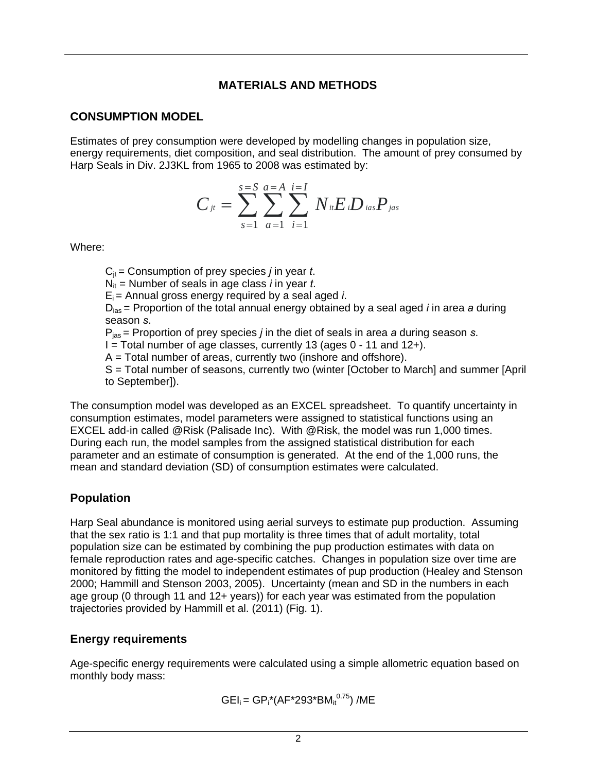#### **MATERIALS AND METHODS**

#### **CONSUMPTION MODEL**

Estimates of prey consumption were developed by modelling changes in population size, energy requirements, diet composition, and seal distribution. The amount of prey consumed by Harp Seals in Div. 2J3KL from 1965 to 2008 was estimated by:

$$
C_{ji} = \sum_{s=1}^{s=S} \sum_{a=1}^{a=A} \sum_{i=1}^{i=I} N_{ii} E_{i} D_{ias} P_{jas}
$$

Where:

 $C_{it}$  = Consumption of prey species *j* in year *t*.

 $N_{it}$  = Number of seals in age class *i* in year *t*.

 $E_i$  = Annual gross energy required by a seal aged *i*.

Dias = Proportion of the total annual energy obtained by a seal aged *i* in area *a* during season *s*.

Pjas = Proportion of prey species *j* in the diet of seals in area *a* during season *s*.

 $I = Total number of age classes, currently 13 (ages  $0 - 11$  and  $12 +$ ).$ 

 $A = Total number of areas, currently two (inshore and offshore).$ 

S = Total number of seasons, currently two (winter [October to March] and summer [April to September]).

The consumption model was developed as an EXCEL spreadsheet. To quantify uncertainty in consumption estimates, model parameters were assigned to statistical functions using an EXCEL add-in called @Risk (Palisade Inc). With @Risk, the model was run 1,000 times. During each run, the model samples from the assigned statistical distribution for each parameter and an estimate of consumption is generated. At the end of the 1,000 runs, the mean and standard deviation (SD) of consumption estimates were calculated.

# **Population**

Harp Seal abundance is monitored using aerial surveys to estimate pup production. Assuming that the sex ratio is 1:1 and that pup mortality is three times that of adult mortality, total population size can be estimated by combining the pup production estimates with data on female reproduction rates and age-specific catches. Changes in population size over time are monitored by fitting the model to independent estimates of pup production (Healey and Stenson 2000; Hammill and Stenson 2003, 2005). Uncertainty (mean and SD in the numbers in each age group (0 through 11 and 12+ years)) for each year was estimated from the population trajectories provided by Hammill et al. (2011) (Fig. 1).

## **Energy requirements**

Age-specific energy requirements were calculated using a simple allometric equation based on monthly body mass:

 $\mathsf{GEl}_{\mathsf{i}} = \mathsf{GP}_{\mathsf{i}}^{\star}(\mathsf{AF}^{\star}293^{\star}\mathsf{BM}_{\mathsf{i}\mathsf{t}}^{0.75})$  /ME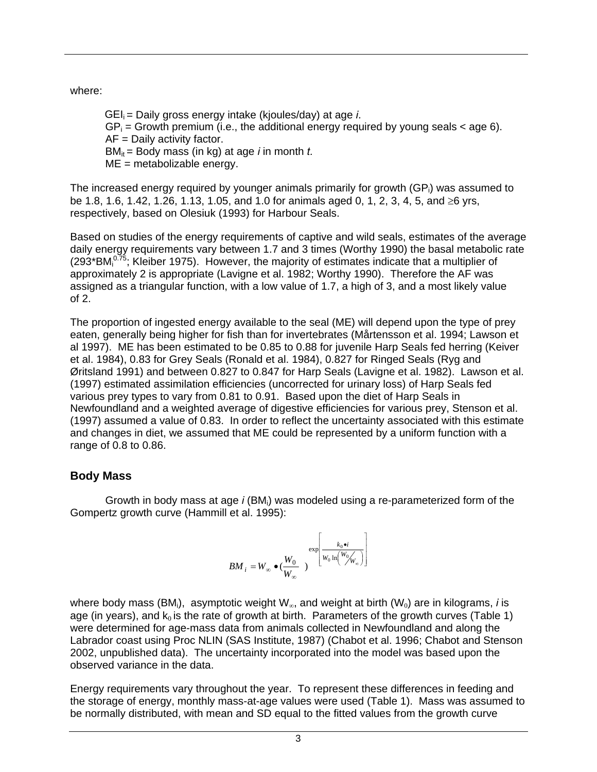where:

GEIi = Daily gross energy intake (kjoules/day) at age *i*.  $GP_i$  = Growth premium (i.e., the additional energy required by young seals  $\lt$  age 6). AF = Daily activity factor. BM<sub>it</sub> = Body mass (in kg) at age *i* in month *t*. ME = metabolizable energy.

The increased energy required by younger animals primarily for growth  $(GP_i)$  was assumed to be 1.8, 1.6, 1.42, 1.26, 1.13, 1.05, and 1.0 for animals aged 0, 1, 2, 3, 4, 5, and  $\geq 6$  yrs, respectively, based on Olesiuk (1993) for Harbour Seals.

Based on studies of the energy requirements of captive and wild seals, estimates of the average daily energy requirements vary between 1.7 and 3 times (Worthy 1990) the basal metabolic rate (293\*BM $10^{75}$ ; Kleiber 1975). However, the majority of estimates indicate that a multiplier of approximately 2 is appropriate (Lavigne et al. 1982; Worthy 1990). Therefore the AF was assigned as a triangular function, with a low value of 1.7, a high of 3, and a most likely value of 2.

The proportion of ingested energy available to the seal (ME) will depend upon the type of prey eaten, generally being higher for fish than for invertebrates (Mårtensson et al. 1994; Lawson et al 1997). ME has been estimated to be 0.85 to 0.88 for juvenile Harp Seals fed herring (Keiver et al. 1984), 0.83 for Grey Seals (Ronald et al. 1984), 0.827 for Ringed Seals (Ryg and Øritsland 1991) and between 0.827 to 0.847 for Harp Seals (Lavigne et al. 1982). Lawson et al. (1997) estimated assimilation efficiencies (uncorrected for urinary loss) of Harp Seals fed various prey types to vary from 0.81 to 0.91. Based upon the diet of Harp Seals in Newfoundland and a weighted average of digestive efficiencies for various prey, Stenson et al. (1997) assumed a value of 0.83. In order to reflect the uncertainty associated with this estimate and changes in diet, we assumed that ME could be represented by a uniform function with a range of 0.8 to 0.86.

## **Body Mass**

Growth in body mass at age *i* (BMi) was modeled using a re-parameterized form of the Gompertz growth curve (Hammill et al. 1995):

$$
BM_{i} = W_{\infty} \bullet (\frac{W_{0}}{W_{\infty}})^{\exp \left[\frac{k_{0} \bullet i}{W_{0} \ln\left(\frac{W_{0}}{W_{\infty}}\right)}\right]}
$$

where body mass (BM<sub>i</sub>), asymptotic weight  $W_{\infty}$ , and weight at birth (W<sub>0</sub>) are in kilograms, *i* is age (in years), and  $k_0$  is the rate of growth at birth. Parameters of the growth curves (Table 1) were determined for age-mass data from animals collected in Newfoundland and along the Labrador coast using Proc NLIN (SAS Institute, 1987) (Chabot et al. 1996; Chabot and Stenson 2002, unpublished data). The uncertainty incorporated into the model was based upon the observed variance in the data.

Energy requirements vary throughout the year. To represent these differences in feeding and the storage of energy, monthly mass-at-age values were used (Table 1). Mass was assumed to be normally distributed, with mean and SD equal to the fitted values from the growth curve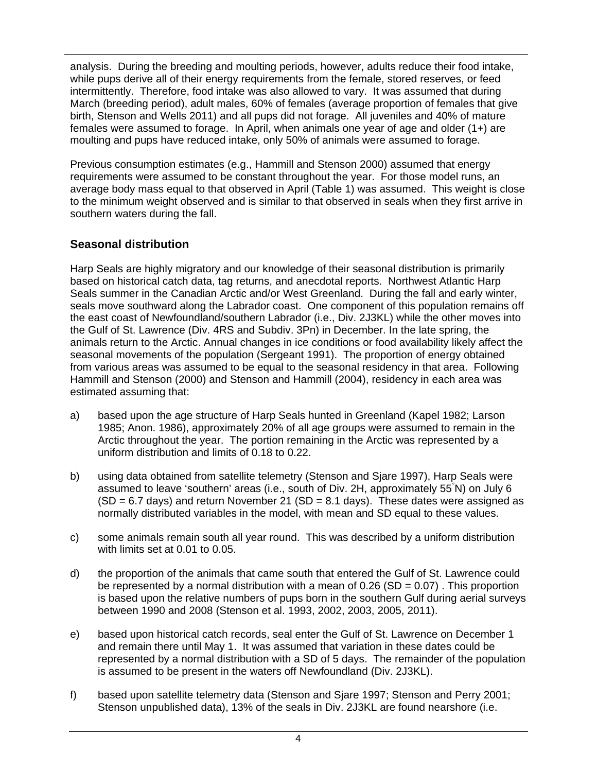analysis. During the breeding and moulting periods, however, adults reduce their food intake, while pups derive all of their energy requirements from the female, stored reserves, or feed intermittently. Therefore, food intake was also allowed to vary. It was assumed that during March (breeding period), adult males, 60% of females (average proportion of females that give birth, Stenson and Wells 2011) and all pups did not forage. All juveniles and 40% of mature females were assumed to forage. In April, when animals one year of age and older (1+) are moulting and pups have reduced intake, only 50% of animals were assumed to forage.

Previous consumption estimates (e.g., Hammill and Stenson 2000) assumed that energy requirements were assumed to be constant throughout the year. For those model runs, an average body mass equal to that observed in April (Table 1) was assumed. This weight is close to the minimum weight observed and is similar to that observed in seals when they first arrive in southern waters during the fall.

## **Seasonal distribution**

Harp Seals are highly migratory and our knowledge of their seasonal distribution is primarily based on historical catch data, tag returns, and anecdotal reports. Northwest Atlantic Harp Seals summer in the Canadian Arctic and/or West Greenland. During the fall and early winter, seals move southward along the Labrador coast. One component of this population remains off the east coast of Newfoundland/southern Labrador (i.e., Div. 2J3KL) while the other moves into the Gulf of St. Lawrence (Div. 4RS and Subdiv. 3Pn) in December. In the late spring, the animals return to the Arctic. Annual changes in ice conditions or food availability likely affect the seasonal movements of the population (Sergeant 1991). The proportion of energy obtained from various areas was assumed to be equal to the seasonal residency in that area. Following Hammill and Stenson (2000) and Stenson and Hammill (2004), residency in each area was estimated assuming that:

- a) based upon the age structure of Harp Seals hunted in Greenland (Kapel 1982; Larson 1985; Anon. 1986), approximately 20% of all age groups were assumed to remain in the Arctic throughout the year. The portion remaining in the Arctic was represented by a uniform distribution and limits of 0.18 to 0.22.
- b) using data obtained from satellite telemetry (Stenson and Sjare 1997), Harp Seals were assumed to leave 'southern' areas (i.e., south of Div. 2H, approximately 55° N) on July 6  $(SD = 6.7$  days) and return November 21  $(SD = 8.1$  days). These dates were assigned as normally distributed variables in the model, with mean and SD equal to these values.
- c) some animals remain south all year round. This was described by a uniform distribution with limits set at 0.01 to 0.05.
- d) the proportion of the animals that came south that entered the Gulf of St. Lawrence could be represented by a normal distribution with a mean of  $0.26$  (SD =  $0.07$ ). This proportion is based upon the relative numbers of pups born in the southern Gulf during aerial surveys between 1990 and 2008 (Stenson et al. 1993, 2002, 2003, 2005, 2011).
- e) based upon historical catch records, seal enter the Gulf of St. Lawrence on December 1 and remain there until May 1. It was assumed that variation in these dates could be represented by a normal distribution with a SD of 5 days. The remainder of the population is assumed to be present in the waters off Newfoundland (Div. 2J3KL).
- f) based upon satellite telemetry data (Stenson and Sjare 1997; Stenson and Perry 2001; Stenson unpublished data), 13% of the seals in Div. 2J3KL are found nearshore (i.e.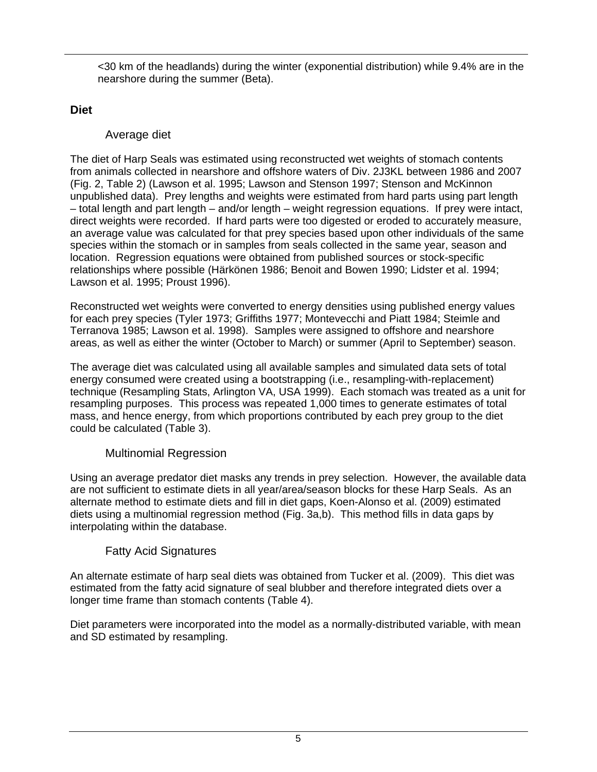<30 km of the headlands) during the winter (exponential distribution) while 9.4% are in the nearshore during the summer (Beta).

#### **Diet**

#### Average diet

The diet of Harp Seals was estimated using reconstructed wet weights of stomach contents from animals collected in nearshore and offshore waters of Div. 2J3KL between 1986 and 2007 (Fig. 2, Table 2) (Lawson et al. 1995; Lawson and Stenson 1997; Stenson and McKinnon unpublished data). Prey lengths and weights were estimated from hard parts using part length – total length and part length – and/or length – weight regression equations. If prey were intact, direct weights were recorded. If hard parts were too digested or eroded to accurately measure, an average value was calculated for that prey species based upon other individuals of the same species within the stomach or in samples from seals collected in the same year, season and location. Regression equations were obtained from published sources or stock-specific relationships where possible (Härkönen 1986; Benoit and Bowen 1990; Lidster et al. 1994; Lawson et al. 1995; Proust 1996).

Reconstructed wet weights were converted to energy densities using published energy values for each prey species (Tyler 1973; Griffiths 1977; Montevecchi and Piatt 1984; Steimle and Terranova 1985; Lawson et al. 1998). Samples were assigned to offshore and nearshore areas, as well as either the winter (October to March) or summer (April to September) season.

The average diet was calculated using all available samples and simulated data sets of total energy consumed were created using a bootstrapping (i.e., resampling-with-replacement) technique (Resampling Stats, Arlington VA, USA 1999). Each stomach was treated as a unit for resampling purposes. This process was repeated 1,000 times to generate estimates of total mass, and hence energy, from which proportions contributed by each prey group to the diet could be calculated (Table 3).

#### Multinomial Regression

Using an average predator diet masks any trends in prey selection. However, the available data are not sufficient to estimate diets in all year/area/season blocks for these Harp Seals. As an alternate method to estimate diets and fill in diet gaps, Koen-Alonso et al. (2009) estimated diets using a multinomial regression method (Fig. 3a,b). This method fills in data gaps by interpolating within the database.

## Fatty Acid Signatures

An alternate estimate of harp seal diets was obtained from Tucker et al. (2009). This diet was estimated from the fatty acid signature of seal blubber and therefore integrated diets over a longer time frame than stomach contents (Table 4).

Diet parameters were incorporated into the model as a normally-distributed variable, with mean and SD estimated by resampling.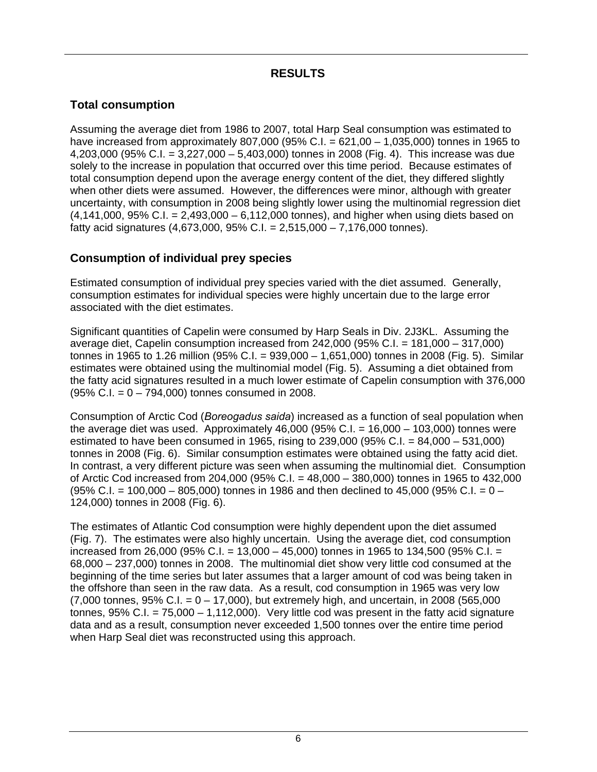# **RESULTS**

# **Total consumption**

Assuming the average diet from 1986 to 2007, total Harp Seal consumption was estimated to have increased from approximately 807,000 (95% C.I. =  $621,00 - 1,035,000$ ) tonnes in 1965 to 4,203,000 (95% C.I. = 3,227,000 – 5,403,000) tonnes in 2008 (Fig. 4). This increase was due solely to the increase in population that occurred over this time period. Because estimates of total consumption depend upon the average energy content of the diet, they differed slightly when other diets were assumed. However, the differences were minor, although with greater uncertainty, with consumption in 2008 being slightly lower using the multinomial regression diet  $(4.141,000, 95\% \text{ C}$ .I. = 2,493,000 – 6,112,000 tonnes), and higher when using diets based on fatty acid signatures (4,673,000, 95% C.I. = 2,515,000 – 7,176,000 tonnes).

#### **Consumption of individual prey species**

Estimated consumption of individual prey species varied with the diet assumed. Generally, consumption estimates for individual species were highly uncertain due to the large error associated with the diet estimates.

Significant quantities of Capelin were consumed by Harp Seals in Div. 2J3KL. Assuming the average diet, Capelin consumption increased from 242,000 (95% C.I. = 181,000 – 317,000) tonnes in 1965 to 1.26 million (95% C.I. = 939,000 – 1,651,000) tonnes in 2008 (Fig. 5). Similar estimates were obtained using the multinomial model (Fig. 5). Assuming a diet obtained from the fatty acid signatures resulted in a much lower estimate of Capelin consumption with 376,000  $(95\% \text{ C} \cdot \text{L} = 0 - 794,000)$  tonnes consumed in 2008.

Consumption of Arctic Cod (*Boreogadus saida*) increased as a function of seal population when the average diet was used. Approximately  $46,000$  (95% C.I. = 16,000 – 103,000) tonnes were estimated to have been consumed in 1965, rising to 239,000 (95% C.I. = 84,000 – 531,000) tonnes in 2008 (Fig. 6). Similar consumption estimates were obtained using the fatty acid diet. In contrast, a very different picture was seen when assuming the multinomial diet. Consumption of Arctic Cod increased from 204,000 (95% C.I. = 48,000 – 380,000) tonnes in 1965 to 432,000  $(95\% \text{ C} \cdot \text{I}) = 100,000 - 805,000$  tonnes in 1986 and then declined to 45,000 (95% C.I. = 0 – 124,000) tonnes in 2008 (Fig. 6).

The estimates of Atlantic Cod consumption were highly dependent upon the diet assumed (Fig. 7). The estimates were also highly uncertain. Using the average diet, cod consumption increased from 26,000 (95% C.I. = 13,000 – 45,000) tonnes in 1965 to 134,500 (95% C.I. = 68,000 – 237,000) tonnes in 2008. The multinomial diet show very little cod consumed at the beginning of the time series but later assumes that a larger amount of cod was being taken in the offshore than seen in the raw data. As a result, cod consumption in 1965 was very low  $(7,000 \text{ tonnes}, 95\% \text{ C}.\text{I.} = 0 - 17,000)$ , but extremely high, and uncertain, in 2008 (565,000 tonnes, 95% C.I. = 75,000 – 1,112,000). Very little cod was present in the fatty acid signature data and as a result, consumption never exceeded 1,500 tonnes over the entire time period when Harp Seal diet was reconstructed using this approach.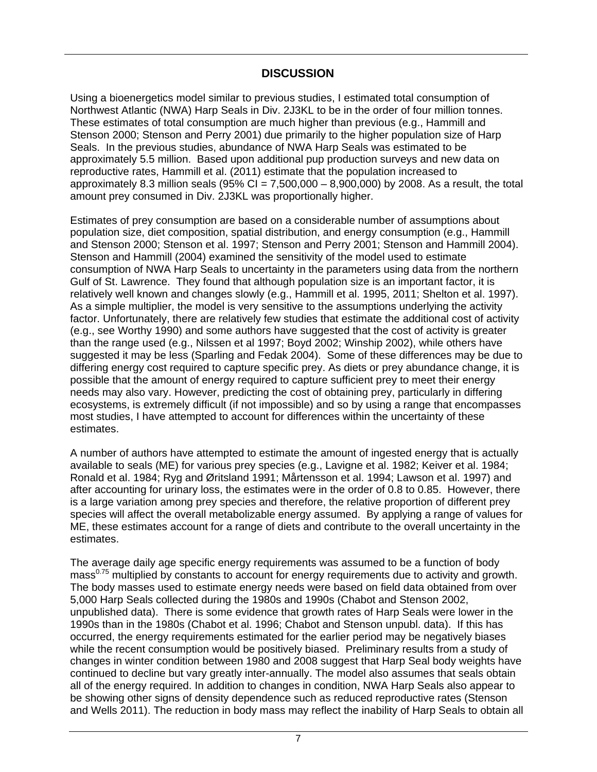#### **DISCUSSION**

Using a bioenergetics model similar to previous studies, I estimated total consumption of Northwest Atlantic (NWA) Harp Seals in Div. 2J3KL to be in the order of four million tonnes. These estimates of total consumption are much higher than previous (e.g., Hammill and Stenson 2000; Stenson and Perry 2001) due primarily to the higher population size of Harp Seals. In the previous studies, abundance of NWA Harp Seals was estimated to be approximately 5.5 million. Based upon additional pup production surveys and new data on reproductive rates, Hammill et al. (2011) estimate that the population increased to approximately 8.3 million seals (95% CI =  $7,500,000 - 8,900,000$ ) by 2008. As a result, the total amount prey consumed in Div. 2J3KL was proportionally higher.

Estimates of prey consumption are based on a considerable number of assumptions about population size, diet composition, spatial distribution, and energy consumption (e.g., Hammill and Stenson 2000; Stenson et al. 1997; Stenson and Perry 2001; Stenson and Hammill 2004). Stenson and Hammill (2004) examined the sensitivity of the model used to estimate consumption of NWA Harp Seals to uncertainty in the parameters using data from the northern Gulf of St. Lawrence. They found that although population size is an important factor, it is relatively well known and changes slowly (e.g., Hammill et al. 1995, 2011; Shelton et al. 1997). As a simple multiplier, the model is very sensitive to the assumptions underlying the activity factor. Unfortunately, there are relatively few studies that estimate the additional cost of activity (e.g., see Worthy 1990) and some authors have suggested that the cost of activity is greater than the range used (e.g., Nilssen et al 1997; Boyd 2002; Winship 2002), while others have suggested it may be less (Sparling and Fedak 2004). Some of these differences may be due to differing energy cost required to capture specific prey. As diets or prey abundance change, it is possible that the amount of energy required to capture sufficient prey to meet their energy needs may also vary. However, predicting the cost of obtaining prey, particularly in differing ecosystems, is extremely difficult (if not impossible) and so by using a range that encompasses most studies, I have attempted to account for differences within the uncertainty of these estimates.

A number of authors have attempted to estimate the amount of ingested energy that is actually available to seals (ME) for various prey species (e.g., Lavigne et al. 1982; Keiver et al. 1984; Ronald et al. 1984; Ryg and Øritsland 1991; Mårtensson et al. 1994; Lawson et al. 1997) and after accounting for urinary loss, the estimates were in the order of 0.8 to 0.85. However, there is a large variation among prey species and therefore, the relative proportion of different prey species will affect the overall metabolizable energy assumed. By applying a range of values for ME, these estimates account for a range of diets and contribute to the overall uncertainty in the estimates.

The average daily age specific energy requirements was assumed to be a function of body mass<sup>0.75</sup> multiplied by constants to account for energy requirements due to activity and growth. The body masses used to estimate energy needs were based on field data obtained from over 5,000 Harp Seals collected during the 1980s and 1990s (Chabot and Stenson 2002, unpublished data). There is some evidence that growth rates of Harp Seals were lower in the 1990s than in the 1980s (Chabot et al. 1996; Chabot and Stenson unpubl. data). If this has occurred, the energy requirements estimated for the earlier period may be negatively biases while the recent consumption would be positively biased. Preliminary results from a study of changes in winter condition between 1980 and 2008 suggest that Harp Seal body weights have continued to decline but vary greatly inter-annually. The model also assumes that seals obtain all of the energy required. In addition to changes in condition, NWA Harp Seals also appear to be showing other signs of density dependence such as reduced reproductive rates (Stenson and Wells 2011). The reduction in body mass may reflect the inability of Harp Seals to obtain all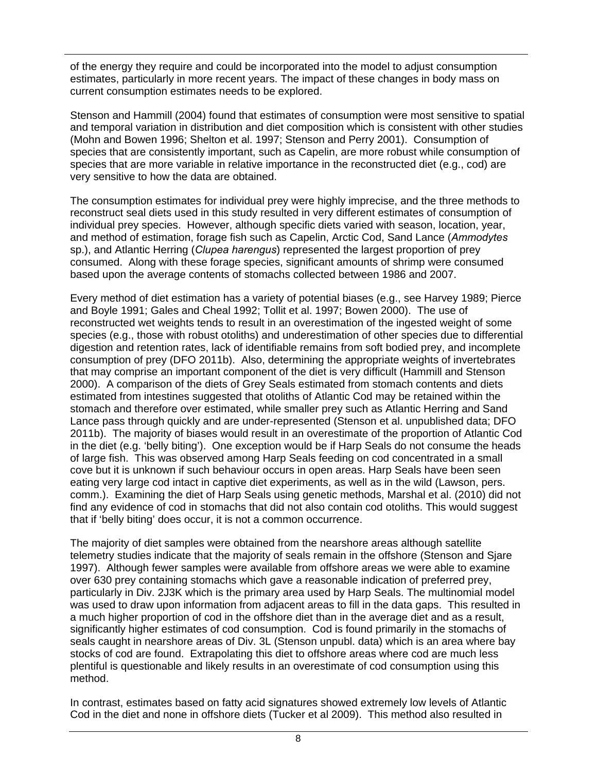of the energy they require and could be incorporated into the model to adjust consumption estimates, particularly in more recent years. The impact of these changes in body mass on current consumption estimates needs to be explored.

Stenson and Hammill (2004) found that estimates of consumption were most sensitive to spatial and temporal variation in distribution and diet composition which is consistent with other studies (Mohn and Bowen 1996; Shelton et al. 1997; Stenson and Perry 2001). Consumption of species that are consistently important, such as Capelin, are more robust while consumption of species that are more variable in relative importance in the reconstructed diet (e.g., cod) are very sensitive to how the data are obtained.

The consumption estimates for individual prey were highly imprecise, and the three methods to reconstruct seal diets used in this study resulted in very different estimates of consumption of individual prey species. However, although specific diets varied with season, location, year, and method of estimation, forage fish such as Capelin, Arctic Cod, Sand Lance (*Ammodytes*  sp.), and Atlantic Herring (*Clupea harengus*) represented the largest proportion of prey consumed. Along with these forage species, significant amounts of shrimp were consumed based upon the average contents of stomachs collected between 1986 and 2007.

Every method of diet estimation has a variety of potential biases (e.g., see Harvey 1989; Pierce and Boyle 1991; Gales and Cheal 1992; Tollit et al. 1997; Bowen 2000). The use of reconstructed wet weights tends to result in an overestimation of the ingested weight of some species (e.g., those with robust otoliths) and underestimation of other species due to differential digestion and retention rates, lack of identifiable remains from soft bodied prey, and incomplete consumption of prey (DFO 2011b). Also, determining the appropriate weights of invertebrates that may comprise an important component of the diet is very difficult (Hammill and Stenson 2000). A comparison of the diets of Grey Seals estimated from stomach contents and diets estimated from intestines suggested that otoliths of Atlantic Cod may be retained within the stomach and therefore over estimated, while smaller prey such as Atlantic Herring and Sand Lance pass through quickly and are under-represented (Stenson et al. unpublished data; DFO 2011b). The majority of biases would result in an overestimate of the proportion of Atlantic Cod in the diet (e.g. 'belly biting'). One exception would be if Harp Seals do not consume the heads of large fish. This was observed among Harp Seals feeding on cod concentrated in a small cove but it is unknown if such behaviour occurs in open areas. Harp Seals have been seen eating very large cod intact in captive diet experiments, as well as in the wild (Lawson, pers. comm.). Examining the diet of Harp Seals using genetic methods, Marshal et al. (2010) did not find any evidence of cod in stomachs that did not also contain cod otoliths. This would suggest that if 'belly biting' does occur, it is not a common occurrence.

The majority of diet samples were obtained from the nearshore areas although satellite telemetry studies indicate that the majority of seals remain in the offshore (Stenson and Sjare 1997). Although fewer samples were available from offshore areas we were able to examine over 630 prey containing stomachs which gave a reasonable indication of preferred prey, particularly in Div. 2J3K which is the primary area used by Harp Seals. The multinomial model was used to draw upon information from adjacent areas to fill in the data gaps. This resulted in a much higher proportion of cod in the offshore diet than in the average diet and as a result, significantly higher estimates of cod consumption. Cod is found primarily in the stomachs of seals caught in nearshore areas of Div. 3L (Stenson unpubl. data) which is an area where bay stocks of cod are found. Extrapolating this diet to offshore areas where cod are much less plentiful is questionable and likely results in an overestimate of cod consumption using this method.

In contrast, estimates based on fatty acid signatures showed extremely low levels of Atlantic Cod in the diet and none in offshore diets (Tucker et al 2009). This method also resulted in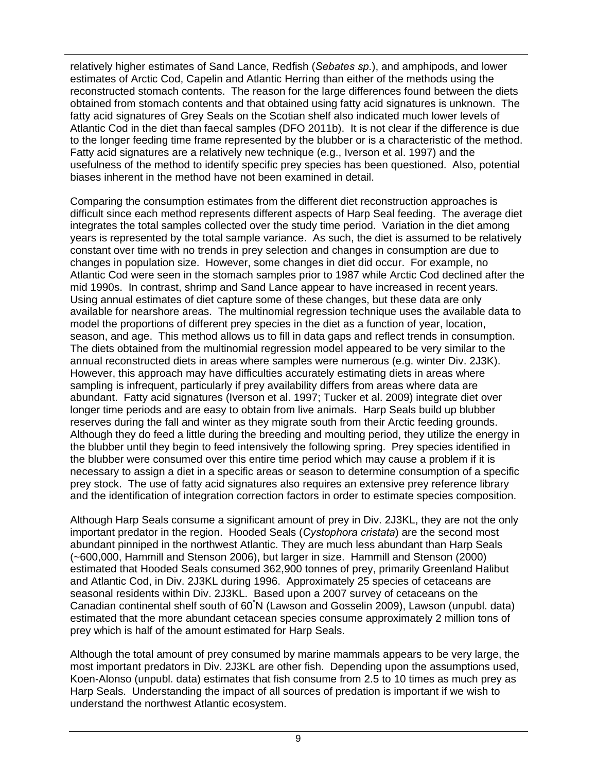relatively higher estimates of Sand Lance, Redfish (*Sebates sp.*), and amphipods, and lower estimates of Arctic Cod, Capelin and Atlantic Herring than either of the methods using the reconstructed stomach contents. The reason for the large differences found between the diets obtained from stomach contents and that obtained using fatty acid signatures is unknown. The fatty acid signatures of Grey Seals on the Scotian shelf also indicated much lower levels of Atlantic Cod in the diet than faecal samples (DFO 2011b). It is not clear if the difference is due to the longer feeding time frame represented by the blubber or is a characteristic of the method. Fatty acid signatures are a relatively new technique (e.g., Iverson et al. 1997) and the usefulness of the method to identify specific prey species has been questioned. Also, potential biases inherent in the method have not been examined in detail.

Comparing the consumption estimates from the different diet reconstruction approaches is difficult since each method represents different aspects of Harp Seal feeding. The average diet integrates the total samples collected over the study time period. Variation in the diet among years is represented by the total sample variance. As such, the diet is assumed to be relatively constant over time with no trends in prey selection and changes in consumption are due to changes in population size. However, some changes in diet did occur. For example, no Atlantic Cod were seen in the stomach samples prior to 1987 while Arctic Cod declined after the mid 1990s. In contrast, shrimp and Sand Lance appear to have increased in recent years. Using annual estimates of diet capture some of these changes, but these data are only available for nearshore areas. The multinomial regression technique uses the available data to model the proportions of different prey species in the diet as a function of year, location, season, and age. This method allows us to fill in data gaps and reflect trends in consumption. The diets obtained from the multinomial regression model appeared to be very similar to the annual reconstructed diets in areas where samples were numerous (e.g. winter Div. 2J3K). However, this approach may have difficulties accurately estimating diets in areas where sampling is infrequent, particularly if prey availability differs from areas where data are abundant. Fatty acid signatures (Iverson et al. 1997; Tucker et al. 2009) integrate diet over longer time periods and are easy to obtain from live animals. Harp Seals build up blubber reserves during the fall and winter as they migrate south from their Arctic feeding grounds. Although they do feed a little during the breeding and moulting period, they utilize the energy in the blubber until they begin to feed intensively the following spring. Prey species identified in the blubber were consumed over this entire time period which may cause a problem if it is necessary to assign a diet in a specific areas or season to determine consumption of a specific prey stock. The use of fatty acid signatures also requires an extensive prey reference library and the identification of integration correction factors in order to estimate species composition.

Although Harp Seals consume a significant amount of prey in Div. 2J3KL, they are not the only important predator in the region. Hooded Seals (*Cystophora cristata*) are the second most abundant pinniped in the northwest Atlantic. They are much less abundant than Harp Seals (~600,000, Hammill and Stenson 2006), but larger in size. Hammill and Stenson (2000) estimated that Hooded Seals consumed 362,900 tonnes of prey, primarily Greenland Halibut and Atlantic Cod, in Div. 2J3KL during 1996. Approximately 25 species of cetaceans are seasonal residents within Div. 2J3KL. Based upon a 2007 survey of cetaceans on the Canadian continental shelf south of 60<sup>°</sup>N (Lawson and Gosselin 2009), Lawson (unpubl. data) estimated that the more abundant cetacean species consume approximately 2 million tons of prey which is half of the amount estimated for Harp Seals.

Although the total amount of prey consumed by marine mammals appears to be very large, the most important predators in Div. 2J3KL are other fish. Depending upon the assumptions used, Koen-Alonso (unpubl. data) estimates that fish consume from 2.5 to 10 times as much prey as Harp Seals. Understanding the impact of all sources of predation is important if we wish to understand the northwest Atlantic ecosystem.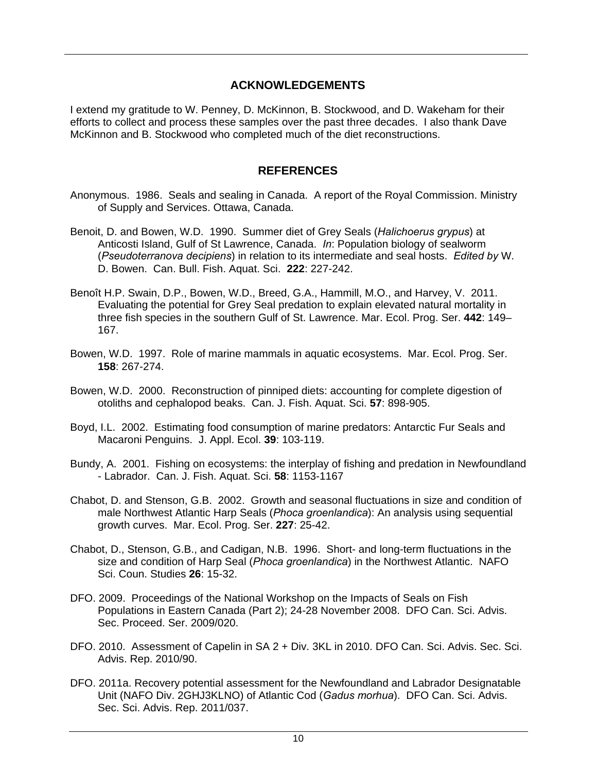#### **ACKNOWLEDGEMENTS**

I extend my gratitude to W. Penney, D. McKinnon, B. Stockwood, and D. Wakeham for their efforts to collect and process these samples over the past three decades. I also thank Dave McKinnon and B. Stockwood who completed much of the diet reconstructions.

#### **REFERENCES**

- Anonymous. 1986. Seals and sealing in Canada. A report of the Royal Commission. Ministry of Supply and Services. Ottawa, Canada.
- Benoit, D. and Bowen, W.D. 1990. Summer diet of Grey Seals (*Halichoerus grypus*) at Anticosti Island, Gulf of St Lawrence, Canada. *In*: Population biology of sealworm (*Pseudoterranova decipiens*) in relation to its intermediate and seal hosts. *Edited by* W. D. Bowen. Can. Bull. Fish. Aquat. Sci. **222**: 227-242.
- Benoît H.P. Swain, D.P., Bowen, W.D., Breed, G.A., Hammill, M.O., and Harvey, V. 2011. Evaluating the potential for Grey Seal predation to explain elevated natural mortality in three fish species in the southern Gulf of St. Lawrence. Mar. Ecol. Prog. Ser. **442**: 149– 167.
- Bowen, W.D. 1997. Role of marine mammals in aquatic ecosystems. Mar. Ecol. Prog. Ser. **158**: 267-274.
- Bowen, W.D. 2000. Reconstruction of pinniped diets: accounting for complete digestion of otoliths and cephalopod beaks. Can. J. Fish. Aquat. Sci. **57**: 898-905.
- Boyd, I.L. 2002. Estimating food consumption of marine predators: Antarctic Fur Seals and Macaroni Penguins. J. Appl. Ecol. **39**: 103-119.
- Bundy, A. 2001. Fishing on ecosystems: the interplay of fishing and predation in Newfoundland - Labrador. Can. J. Fish. Aquat. Sci. **58**: 1153-1167
- Chabot, D. and Stenson, G.B. 2002. Growth and seasonal fluctuations in size and condition of male Northwest Atlantic Harp Seals (*Phoca groenlandica*): An analysis using sequential growth curves. Mar. Ecol. Prog. Ser. **227**: 25-42.
- Chabot, D., Stenson, G.B., and Cadigan, N.B. 1996. Short- and long-term fluctuations in the size and condition of Harp Seal (*Phoca groenlandica*) in the Northwest Atlantic. NAFO Sci. Coun. Studies **26**: 15-32.
- DFO. 2009. Proceedings of the National Workshop on the Impacts of Seals on Fish Populations in Eastern Canada (Part 2); 24-28 November 2008. DFO Can. Sci. Advis. Sec. Proceed. Ser. 2009/020.
- DFO. 2010. Assessment of Capelin in SA 2 + Div. 3KL in 2010. DFO Can. Sci. Advis. Sec. Sci. Advis. Rep. 2010/90.
- DFO. 2011a. Recovery potential assessment for the Newfoundland and Labrador Designatable Unit (NAFO Div. 2GHJ3KLNO) of Atlantic Cod (*Gadus morhua*). DFO Can. Sci. Advis. Sec. Sci. Advis. Rep. 2011/037.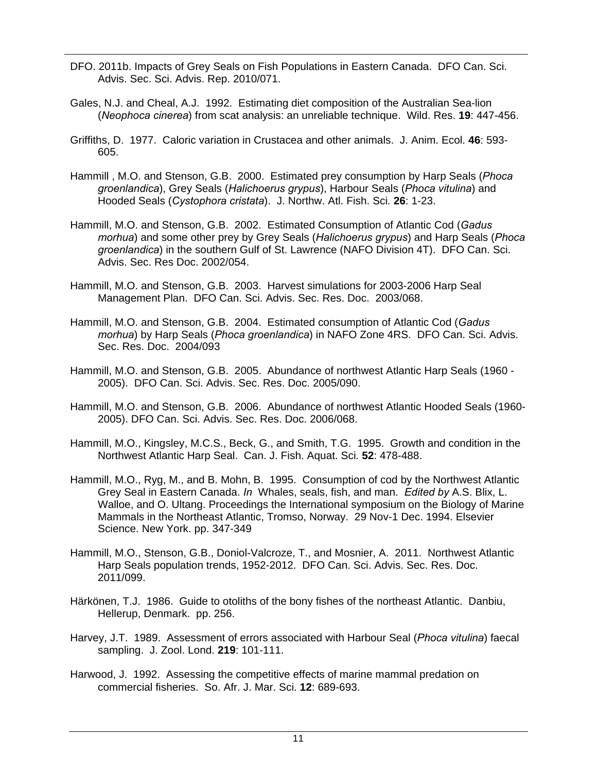- DFO. 2011b. Impacts of Grey Seals on Fish Populations in Eastern Canada. DFO Can. Sci. Advis. Sec. Sci. Advis. Rep. 2010/071.
- Gales, N.J. and Cheal, A.J. 1992. Estimating diet composition of the Australian Sea-lion (*Neophoca cinerea*) from scat analysis: an unreliable technique. Wild. Res. **19**: 447-456.
- Griffiths, D. 1977. Caloric variation in Crustacea and other animals. J. Anim. Ecol*.* **46**: 593- 605.
- Hammill , M.O. and Stenson, G.B. 2000. Estimated prey consumption by Harp Seals (*Phoca groenlandica*), Grey Seals (*Halichoerus grypus*), Harbour Seals (*Phoca vitulina*) and Hooded Seals (*Cystophora cristata*). J. Northw. Atl. Fish. Sci*.* **26**: 1-23.
- Hammill, M.O. and Stenson, G.B. 2002. Estimated Consumption of Atlantic Cod (*Gadus morhua*) and some other prey by Grey Seals (*Halichoerus grypus*) and Harp Seals (*Phoca groenlandica*) in the southern Gulf of St. Lawrence (NAFO Division 4T). DFO Can. Sci. Advis. Sec. Res Doc. 2002/054.
- Hammill, M.O. and Stenson, G.B. 2003. Harvest simulations for 2003-2006 Harp Seal Management Plan. DFO Can. Sci. Advis. Sec. Res. Doc. 2003/068.
- Hammill, M.O. and Stenson, G.B. 2004. Estimated consumption of Atlantic Cod (*Gadus morhua*) by Harp Seals (*Phoca groenlandica*) in NAFO Zone 4RS. DFO Can. Sci. Advis. Sec. Res. Doc. 2004/093
- Hammill, M.O. and Stenson, G.B. 2005. Abundance of northwest Atlantic Harp Seals (1960 2005). DFO Can. Sci. Advis. Sec. Res. Doc. 2005/090.
- Hammill, M.O. and Stenson, G.B. 2006. Abundance of northwest Atlantic Hooded Seals (1960- 2005). DFO Can. Sci. Advis. Sec. Res. Doc. 2006/068.
- Hammill, M.O., Kingsley, M.C.S., Beck, G., and Smith, T.G. 1995. Growth and condition in the Northwest Atlantic Harp Seal. Can. J. Fish. Aquat. Sci*.* **52**: 478-488.
- Hammill, M.O., Ryg, M., and B. Mohn, B. 1995. Consumption of cod by the Northwest Atlantic Grey Seal in Eastern Canada. *In* Whales, seals, fish, and man. *Edited by* A.S. Blix, L. Walloe, and O. Ultang. Proceedings the International symposium on the Biology of Marine Mammals in the Northeast Atlantic, Tromso, Norway. 29 Nov-1 Dec. 1994. Elsevier Science. New York. pp. 347-349
- Hammill, M.O., Stenson, G.B., Doniol-Valcroze, T., and Mosnier, A. 2011. Northwest Atlantic Harp Seals population trends, 1952-2012. DFO Can. Sci. Advis. Sec. Res. Doc. 2011/099.
- Härkönen, T.J. 1986. Guide to otoliths of the bony fishes of the northeast Atlantic. Danbiu, Hellerup, Denmark. pp. 256.
- Harvey, J.T. 1989. Assessment of errors associated with Harbour Seal (*Phoca vitulina*) faecal sampling. J. Zool. Lond. **219**: 101-111.
- Harwood, J. 1992. Assessing the competitive effects of marine mammal predation on commercial fisheries. So. Afr. J. Mar. Sci. **12**: 689-693.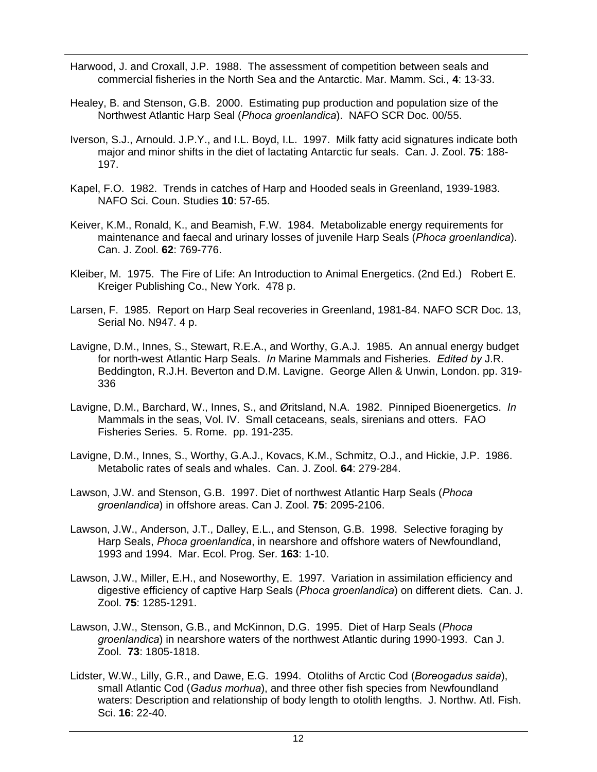- Harwood, J. and Croxall, J.P. 1988. The assessment of competition between seals and commercial fisheries in the North Sea and the Antarctic. Mar. Mamm. Sci*.,* **4**: 13-33.
- Healey, B. and Stenson, G.B. 2000. Estimating pup production and population size of the Northwest Atlantic Harp Seal (*Phoca groenlandica*). NAFO SCR Doc. 00/55.
- Iverson, S.J., Arnould. J.P.Y., and I.L. Boyd, I.L. 1997. Milk fatty acid signatures indicate both major and minor shifts in the diet of lactating Antarctic fur seals. Can. J. Zool. **75**: 188- 197.
- Kapel, F.O. 1982. Trends in catches of Harp and Hooded seals in Greenland, 1939-1983. NAFO Sci. Coun. Studies **10**: 57-65.
- Keiver, K.M., Ronald, K., and Beamish, F.W. 1984. Metabolizable energy requirements for maintenance and faecal and urinary losses of juvenile Harp Seals (*Phoca groenlandica*). Can. J. Zool. **62**: 769-776.
- Kleiber, M. 1975. The Fire of Life: An Introduction to Animal Energetics. (2nd Ed.) Robert E. Kreiger Publishing Co., New York. 478 p.
- Larsen, F. 1985. Report on Harp Seal recoveries in Greenland, 1981-84. NAFO SCR Doc. 13, Serial No. N947. 4 p.
- Lavigne, D.M., Innes, S., Stewart, R.E.A., and Worthy, G.A.J. 1985. An annual energy budget for north-west Atlantic Harp Seals. *In* Marine Mammals and Fisheries. *Edited by* J.R. Beddington, R.J.H. Beverton and D.M. Lavigne. George Allen & Unwin, London. pp. 319- 336
- Lavigne, D.M., Barchard, W., Innes, S., and Øritsland, N.A. 1982. Pinniped Bioenergetics. *In* Mammals in the seas, Vol. IV. Small cetaceans, seals, sirenians and otters. FAO Fisheries Series. 5. Rome. pp. 191-235.
- Lavigne, D.M., Innes, S., Worthy, G.A.J., Kovacs, K.M., Schmitz, O.J., and Hickie, J.P. 1986. Metabolic rates of seals and whales. Can. J. Zool. **64**: 279-284.
- Lawson, J.W. and Stenson, G.B. 1997. Diet of northwest Atlantic Harp Seals (*Phoca groenlandica*) in offshore areas. Can J. Zool. **75**: 2095-2106.
- Lawson, J.W., Anderson, J.T., Dalley, E.L., and Stenson, G.B. 1998. Selective foraging by Harp Seals, *Phoca groenlandica*, in nearshore and offshore waters of Newfoundland, 1993 and 1994. Mar. Ecol. Prog. Ser*.* **163**: 1-10.
- Lawson, J.W., Miller, E.H., and Noseworthy, E. 1997. Variation in assimilation efficiency and digestive efficiency of captive Harp Seals (*Phoca groenlandica*) on different diets. Can. J. Zool. **75**: 1285-1291.
- Lawson, J.W., Stenson, G.B., and McKinnon, D.G. 1995. Diet of Harp Seals (*Phoca groenlandica*) in nearshore waters of the northwest Atlantic during 1990-1993. Can J. Zool. **73**: 1805-1818.
- Lidster, W.W., Lilly, G.R., and Dawe, E.G. 1994. Otoliths of Arctic Cod (*Boreogadus saida*), small Atlantic Cod (*Gadus morhua*), and three other fish species from Newfoundland waters: Description and relationship of body length to otolith lengths. J. Northw. Atl. Fish. Sci. **16**: 22-40.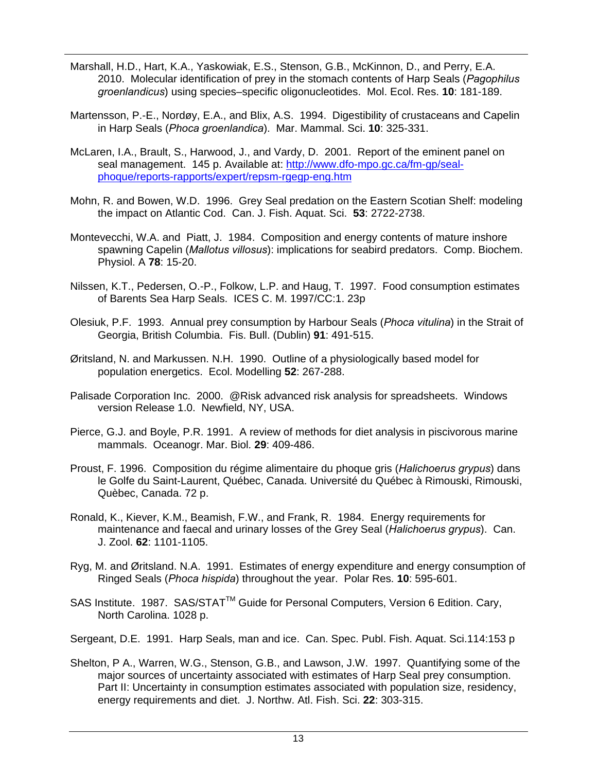- Marshall, H.D., Hart, K.A., Yaskowiak, E.S., Stenson, G.B., McKinnon, D., and Perry, E.A. 2010. Molecular identification of prey in the stomach contents of Harp Seals (*Pagophilus groenlandicus*) using species–specific oligonucleotides. Mol. Ecol. Res. **10**: 181-189.
- Martensson, P.-E., Nordøy, E.A., and Blix, A.S. 1994. Digestibility of crustaceans and Capelin in Harp Seals (*Phoca groenlandica*). Mar. Mammal. Sci. **10**: 325-331.
- McLaren, I.A., Brault, S., Harwood, J., and Vardy, D. 2001. Report of the eminent panel on seal management. 145 p. Available at: http://www.dfo-mpo.gc.ca/fm-gp/sealphoque/reports-rapports/expert/repsm-rgegp-eng.htm
- Mohn, R. and Bowen, W.D. 1996. Grey Seal predation on the Eastern Scotian Shelf: modeling the impact on Atlantic Cod. Can. J. Fish. Aquat. Sci. **53**: 2722-2738.
- Montevecchi, W.A. and Piatt, J. 1984. Composition and energy contents of mature inshore spawning Capelin (*Mallotus villosus*): implications for seabird predators. Comp. Biochem. Physiol. A **78**: 15-20.
- Nilssen, K.T., Pedersen, O.-P., Folkow, L.P. and Haug, T. 1997. Food consumption estimates of Barents Sea Harp Seals. ICES C. M. 1997/CC:1. 23p
- Olesiuk, P.F. 1993. Annual prey consumption by Harbour Seals (*Phoca vitulina*) in the Strait of Georgia, British Columbia. Fis. Bull. (Dublin) **91**: 491-515.
- Øritsland, N. and Markussen. N.H. 1990. Outline of a physiologically based model for population energetics. Ecol. Modelling **52**: 267-288.
- Palisade Corporation Inc. 2000. @Risk advanced risk analysis for spreadsheets. Windows version Release 1.0. Newfield, NY, USA.
- Pierce, G.J. and Boyle, P.R. 1991. A review of methods for diet analysis in piscivorous marine mammals. Oceanogr. Mar. Biol*.* **29**: 409-486.
- Proust, F. 1996. Composition du régime alimentaire du phoque gris (*Halichoerus grypus*) dans le Golfe du Saint-Laurent, Québec, Canada. Université du Québec à Rimouski, Rimouski, Quèbec, Canada. 72 p.
- Ronald, K., Kiever, K.M., Beamish, F.W., and Frank, R. 1984. Energy requirements for maintenance and faecal and urinary losses of the Grey Seal (*Halichoerus grypus*). Can. J. Zool. **62**: 1101-1105.
- Ryg, M. and Øritsland. N.A. 1991. Estimates of energy expenditure and energy consumption of Ringed Seals (*Phoca hispida*) throughout the year. Polar Res*.* **10**: 595-601.
- SAS Institute. 1987. SAS/STAT™ Guide for Personal Computers, Version 6 Edition. Cary, North Carolina. 1028 p.
- Sergeant, D.E. 1991. Harp Seals, man and ice. Can. Spec. Publ. Fish. Aquat. Sci.114:153 p
- Shelton, P A., Warren, W.G., Stenson, G.B., and Lawson, J.W. 1997. Quantifying some of the major sources of uncertainty associated with estimates of Harp Seal prey consumption. Part II: Uncertainty in consumption estimates associated with population size, residency, energy requirements and diet. J. Northw. Atl. Fish. Sci. **22**: 303-315.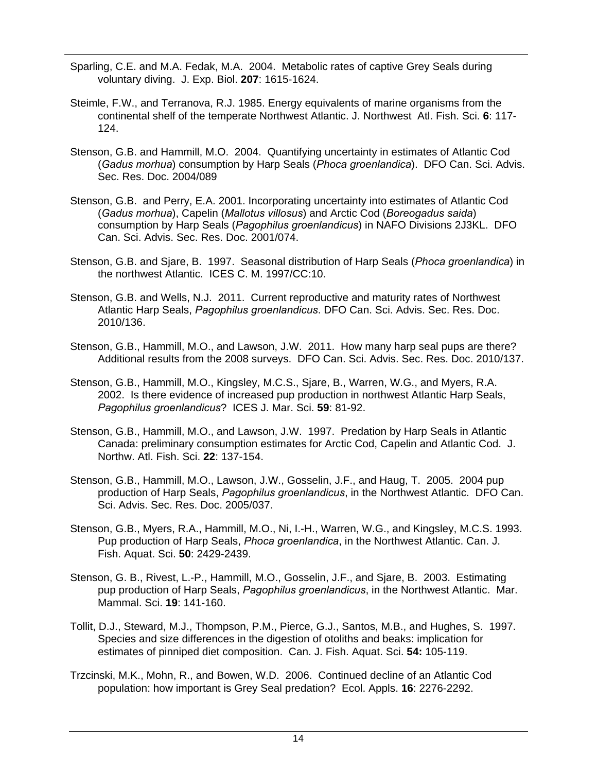- Sparling, C.E. and M.A. Fedak, M.A. 2004. Metabolic rates of captive Grey Seals during voluntary diving. J. Exp. Biol. **207**: 1615-1624.
- Steimle, F.W., and Terranova, R.J. 1985. Energy equivalents of marine organisms from the continental shelf of the temperate Northwest Atlantic. J. Northwest Atl. Fish. Sci*.* **6**: 117- 124.
- Stenson, G.B. and Hammill, M.O. 2004. Quantifying uncertainty in estimates of Atlantic Cod (*Gadus morhua*) consumption by Harp Seals (*Phoca groenlandica*). DFO Can. Sci. Advis. Sec. Res. Doc. 2004/089
- Stenson, G.B. and Perry, E.A. 2001. Incorporating uncertainty into estimates of Atlantic Cod (*Gadus morhua*), Capelin (*Mallotus villosus*) and Arctic Cod (*Boreogadus saida*) consumption by Harp Seals (*Pagophilus groenlandicus*) in NAFO Divisions 2J3KL. DFO Can. Sci. Advis. Sec. Res. Doc. 2001/074.
- Stenson, G.B. and Sjare, B. 1997. Seasonal distribution of Harp Seals (*Phoca groenlandica*) in the northwest Atlantic. ICES C. M. 1997/CC:10.
- Stenson, G.B. and Wells, N.J. 2011. Current reproductive and maturity rates of Northwest Atlantic Harp Seals, *Pagophilus groenlandicus*. DFO Can. Sci. Advis. Sec. Res. Doc. 2010/136.
- Stenson, G.B., Hammill, M.O., and Lawson, J.W. 2011. How many harp seal pups are there? Additional results from the 2008 surveys. DFO Can. Sci. Advis. Sec. Res. Doc. 2010/137.
- Stenson, G.B., Hammill, M.O., Kingsley, M.C.S., Sjare, B., Warren, W.G., and Myers, R.A. 2002. Is there evidence of increased pup production in northwest Atlantic Harp Seals, *Pagophilus groenlandicus*? ICES J. Mar. Sci. **59**: 81-92.
- Stenson, G.B., Hammill, M.O., and Lawson, J.W. 1997. Predation by Harp Seals in Atlantic Canada: preliminary consumption estimates for Arctic Cod, Capelin and Atlantic Cod. J. Northw. Atl. Fish. Sci. **22**: 137-154.
- Stenson, G.B., Hammill, M.O., Lawson, J.W., Gosselin, J.F., and Haug, T. 2005. 2004 pup production of Harp Seals, *Pagophilus groenlandicus*, in the Northwest Atlantic. DFO Can. Sci. Advis. Sec. Res. Doc. 2005/037.
- Stenson, G.B., Myers, R.A., Hammill, M.O., Ni, I.-H., Warren, W.G., and Kingsley, M.C.S. 1993. Pup production of Harp Seals, *Phoca groenlandica*, in the Northwest Atlantic. Can. J. Fish. Aquat. Sci. **50**: 2429-2439.
- Stenson, G. B., Rivest, L.-P., Hammill, M.O., Gosselin, J.F., and Sjare, B. 2003. Estimating pup production of Harp Seals, *Pagophilus groenlandicus*, in the Northwest Atlantic. Mar. Mammal. Sci. **19**: 141-160.
- Tollit, D.J., Steward, M.J., Thompson, P.M., Pierce, G.J., Santos, M.B., and Hughes, S. 1997. Species and size differences in the digestion of otoliths and beaks: implication for estimates of pinniped diet composition. Can. J. Fish. Aquat. Sci. **54:** 105-119.
- Trzcinski, M.K., Mohn, R., and Bowen, W.D. 2006. Continued decline of an Atlantic Cod population: how important is Grey Seal predation? Ecol. Appls. **16**: 2276-2292.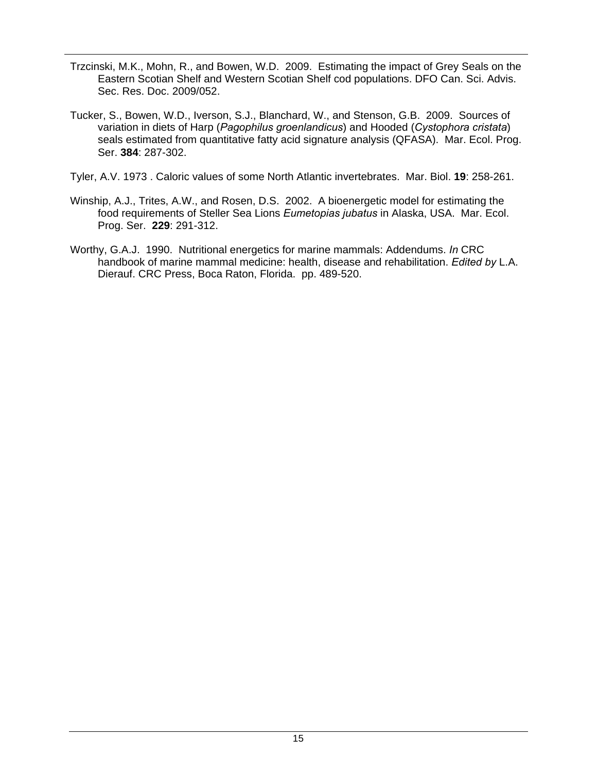- Trzcinski, M.K., Mohn, R., and Bowen, W.D. 2009. Estimating the impact of Grey Seals on the Eastern Scotian Shelf and Western Scotian Shelf cod populations. DFO Can. Sci. Advis. Sec. Res. Doc. 2009/052.
- Tucker, S., Bowen, W.D., Iverson, S.J., Blanchard, W., and Stenson, G.B. 2009. Sources of variation in diets of Harp (*Pagophilus groenlandicus*) and Hooded (*Cystophora cristata*) seals estimated from quantitative fatty acid signature analysis (QFASA). Mar. Ecol. Prog. Ser. **384**: 287-302.
- Tyler, A.V. 1973 . Caloric values of some North Atlantic invertebrates. Mar. Biol. **19**: 258-261.
- Winship, A.J., Trites, A.W., and Rosen, D.S. 2002. A bioenergetic model for estimating the food requirements of Steller Sea Lions *Eumetopias jubatus* in Alaska, USA. Mar. Ecol. Prog. Ser. **229**: 291-312.
- Worthy, G.A.J. 1990. Nutritional energetics for marine mammals: Addendums. *In* CRC handbook of marine mammal medicine: health, disease and rehabilitation. *Edited by* L.A. Dierauf. CRC Press, Boca Raton, Florida. pp. 489-520.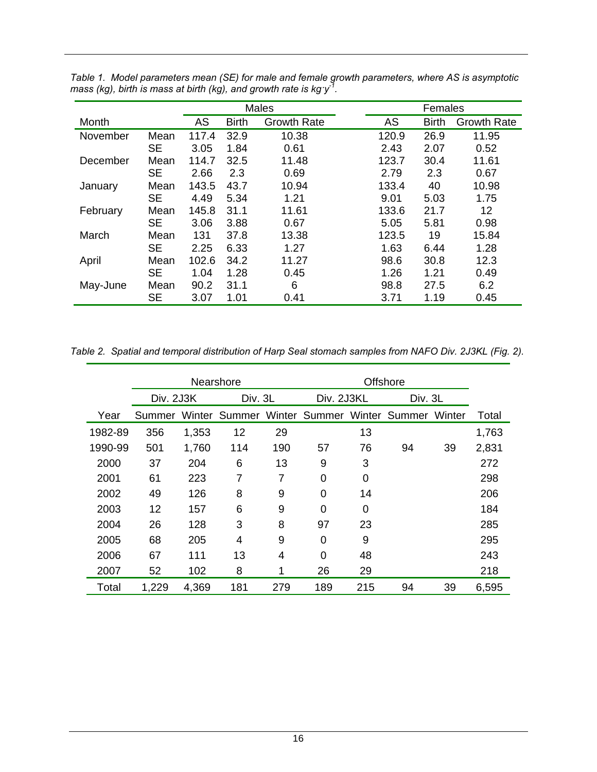|          |           | <b>Males</b> |              |                    |  | Females |              |                    |  |
|----------|-----------|--------------|--------------|--------------------|--|---------|--------------|--------------------|--|
| Month    |           | AS           | <b>Birth</b> | <b>Growth Rate</b> |  | AS      | <b>Birth</b> | <b>Growth Rate</b> |  |
| November | Mean      | 117.4        | 32.9         | 10.38              |  | 120.9   | 26.9         | 11.95              |  |
|          | <b>SE</b> | 3.05         | 1.84         | 0.61               |  | 2.43    | 2.07         | 0.52               |  |
| December | Mean      | 114.7        | 32.5         | 11.48              |  | 123.7   | 30.4         | 11.61              |  |
|          | <b>SE</b> | 2.66         | 2.3          | 0.69               |  | 2.79    | 2.3          | 0.67               |  |
| January  | Mean      | 143.5        | 43.7         | 10.94              |  | 133.4   | 40           | 10.98              |  |
|          | <b>SE</b> | 4.49         | 5.34         | 1.21               |  | 9.01    | 5.03         | 1.75               |  |
| February | Mean      | 145.8        | 31.1         | 11.61              |  | 133.6   | 21.7         | 12                 |  |
|          | <b>SE</b> | 3.06         | 3.88         | 0.67               |  | 5.05    | 5.81         | 0.98               |  |
| March    | Mean      | 131          | 37.8         | 13.38              |  | 123.5   | 19           | 15.84              |  |
|          | <b>SE</b> | 2.25         | 6.33         | 1.27               |  | 1.63    | 6.44         | 1.28               |  |
| April    | Mean      | 102.6        | 34.2         | 11.27              |  | 98.6    | 30.8         | 12.3               |  |
|          | <b>SE</b> | 1.04         | 1.28         | 0.45               |  | 1.26    | 1.21         | 0.49               |  |
| May-June | Mean      | 90.2         | 31.1         | 6                  |  | 98.8    | 27.5         | 6.2                |  |
|          | <b>SE</b> | 3.07         | 1.01         | 0.41               |  | 3.71    | 1.19         | 0.45               |  |

*Table 1. Model parameters mean (SE) for male and female growth parameters, where AS is asymptotic mass (kg), birth is mass at birth (kg), and growth rate is kg·y-1.* 

*Table 2. Spatial and temporal distribution of Harp Seal stomach samples from NAFO Div. 2J3KL (Fig. 2).* 

|         |           |       | Nearshore |     |                                           |     |         |        |       |
|---------|-----------|-------|-----------|-----|-------------------------------------------|-----|---------|--------|-------|
|         | Div. 2J3K |       | Div. 3L   |     | Div. 2J3KL                                |     | Div. 3L |        |       |
| Year    | Summer    |       |           |     | Winter Summer Winter Summer Winter Summer |     |         | Winter | Total |
| 1982-89 | 356       | 1,353 | 12        | 29  |                                           | 13  |         |        | 1,763 |
| 1990-99 | 501       | 1,760 | 114       | 190 | 57                                        | 76  | 94      | 39     | 2,831 |
| 2000    | 37        | 204   | 6         | 13  | 9                                         | 3   |         |        | 272   |
| 2001    | 61        | 223   | 7         | 7   | 0                                         | 0   |         |        | 298   |
| 2002    | 49        | 126   | 8         | 9   | 0                                         | 14  |         |        | 206   |
| 2003    | 12        | 157   | 6         | 9   | 0                                         | 0   |         |        | 184   |
| 2004    | 26        | 128   | 3         | 8   | 97                                        | 23  |         |        | 285   |
| 2005    | 68        | 205   | 4         | 9   | 0                                         | 9   |         |        | 295   |
| 2006    | 67        | 111   | 13        | 4   | 0                                         | 48  |         |        | 243   |
| 2007    | 52        | 102   | 8         | 1   | 26                                        | 29  |         |        | 218   |
| Total   | 1,229     | 4,369 | 181       | 279 | 189                                       | 215 | 94      | 39     | 6.595 |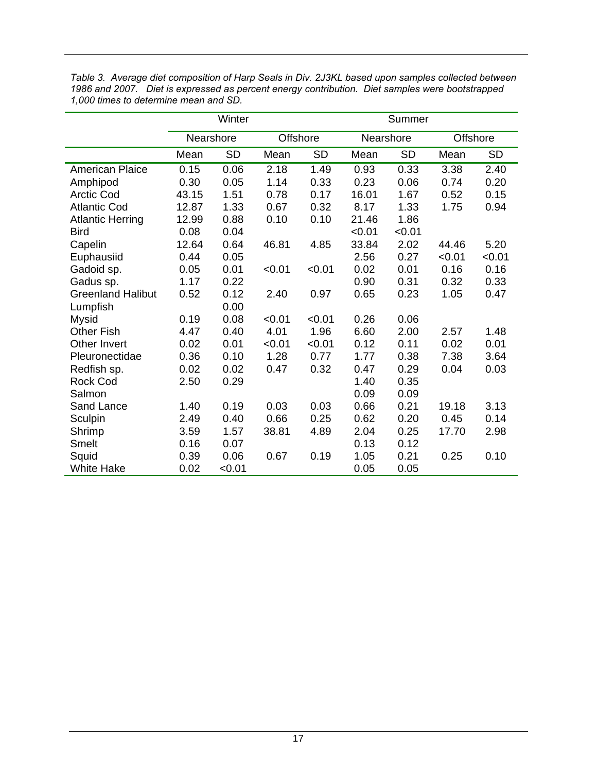|                          |                       | Winter    |        |           | Summer    |           |        |           |  |
|--------------------------|-----------------------|-----------|--------|-----------|-----------|-----------|--------|-----------|--|
|                          | Nearshore<br>Offshore |           |        |           | Nearshore | Offshore  |        |           |  |
|                          | Mean                  | <b>SD</b> | Mean   | <b>SD</b> | Mean      | <b>SD</b> | Mean   | <b>SD</b> |  |
| American Plaice          | 0.15                  | 0.06      | 2.18   | 1.49      | 0.93      | 0.33      | 3.38   | 2.40      |  |
| Amphipod                 | 0.30                  | 0.05      | 1.14   | 0.33      | 0.23      | 0.06      | 0.74   | 0.20      |  |
| <b>Arctic Cod</b>        | 43.15                 | 1.51      | 0.78   | 0.17      | 16.01     | 1.67      | 0.52   | 0.15      |  |
| <b>Atlantic Cod</b>      | 12.87                 | 1.33      | 0.67   | 0.32      | 8.17      | 1.33      | 1.75   | 0.94      |  |
| <b>Atlantic Herring</b>  | 12.99                 | 0.88      | 0.10   | 0.10      | 21.46     | 1.86      |        |           |  |
| <b>Bird</b>              | 0.08                  | 0.04      |        |           | < 0.01    | < 0.01    |        |           |  |
| Capelin                  | 12.64                 | 0.64      | 46.81  | 4.85      | 33.84     | 2.02      | 44.46  | 5.20      |  |
| Euphausiid               | 0.44                  | 0.05      |        |           | 2.56      | 0.27      | < 0.01 | < 0.01    |  |
| Gadoid sp.               | 0.05                  | 0.01      | < 0.01 | < 0.01    | 0.02      | 0.01      | 0.16   | 0.16      |  |
| Gadus sp.                | 1.17                  | 0.22      |        |           | 0.90      | 0.31      | 0.32   | 0.33      |  |
| <b>Greenland Halibut</b> | 0.52                  | 0.12      | 2.40   | 0.97      | 0.65      | 0.23      | 1.05   | 0.47      |  |
| Lumpfish                 |                       | 0.00      |        |           |           |           |        |           |  |
| <b>Mysid</b>             | 0.19                  | 0.08      | < 0.01 | < 0.01    | 0.26      | 0.06      |        |           |  |
| <b>Other Fish</b>        | 4.47                  | 0.40      | 4.01   | 1.96      | 6.60      | 2.00      | 2.57   | 1.48      |  |
| Other Invert             | 0.02                  | 0.01      | < 0.01 | < 0.01    | 0.12      | 0.11      | 0.02   | 0.01      |  |
| Pleuronectidae           | 0.36                  | 0.10      | 1.28   | 0.77      | 1.77      | 0.38      | 7.38   | 3.64      |  |
| Redfish sp.              | 0.02                  | 0.02      | 0.47   | 0.32      | 0.47      | 0.29      | 0.04   | 0.03      |  |
| <b>Rock Cod</b>          | 2.50                  | 0.29      |        |           | 1.40      | 0.35      |        |           |  |
| Salmon                   |                       |           |        |           | 0.09      | 0.09      |        |           |  |
| Sand Lance               | 1.40                  | 0.19      | 0.03   | 0.03      | 0.66      | 0.21      | 19.18  | 3.13      |  |
| Sculpin                  | 2.49                  | 0.40      | 0.66   | 0.25      | 0.62      | 0.20      | 0.45   | 0.14      |  |
| Shrimp                   | 3.59                  | 1.57      | 38.81  | 4.89      | 2.04      | 0.25      | 17.70  | 2.98      |  |
| <b>Smelt</b>             | 0.16                  | 0.07      |        |           | 0.13      | 0.12      |        |           |  |
| Squid                    | 0.39                  | 0.06      | 0.67   | 0.19      | 1.05      | 0.21      | 0.25   | 0.10      |  |
| <b>White Hake</b>        | 0.02                  | < 0.01    |        |           | 0.05      | 0.05      |        |           |  |

*Table 3. Average diet composition of Harp Seals in Div. 2J3KL based upon samples collected between 1986 and 2007. Diet is expressed as percent energy contribution. Diet samples were bootstrapped 1,000 times to determine mean and SD.*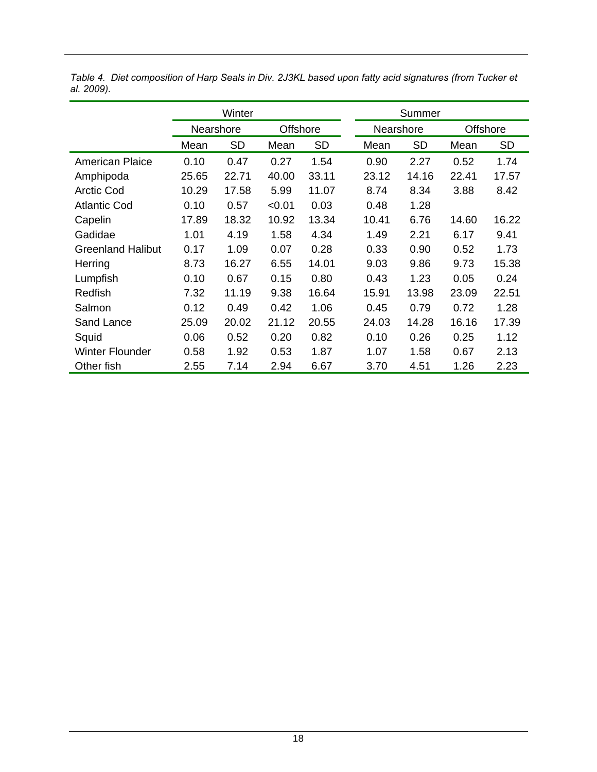|                          | Winter    |           |                 |           | Summer    |           |                 |           |  |
|--------------------------|-----------|-----------|-----------------|-----------|-----------|-----------|-----------------|-----------|--|
|                          | Nearshore |           | <b>Offshore</b> |           | Nearshore |           | <b>Offshore</b> |           |  |
|                          | Mean      | <b>SD</b> | Mean            | <b>SD</b> | Mean      | <b>SD</b> | Mean            | <b>SD</b> |  |
| <b>American Plaice</b>   | 0.10      | 0.47      | 0.27            | 1.54      | 0.90      | 2.27      | 0.52            | 1.74      |  |
| Amphipoda                | 25.65     | 22.71     | 40.00           | 33.11     | 23.12     | 14.16     | 22.41           | 17.57     |  |
| <b>Arctic Cod</b>        | 10.29     | 17.58     | 5.99            | 11.07     | 8.74      | 8.34      | 3.88            | 8.42      |  |
| <b>Atlantic Cod</b>      | 0.10      | 0.57      | < 0.01          | 0.03      | 0.48      | 1.28      |                 |           |  |
| Capelin                  | 17.89     | 18.32     | 10.92           | 13.34     | 10.41     | 6.76      | 14.60           | 16.22     |  |
| Gadidae                  | 1.01      | 4.19      | 1.58            | 4.34      | 1.49      | 2.21      | 6.17            | 9.41      |  |
| <b>Greenland Halibut</b> | 0.17      | 1.09      | 0.07            | 0.28      | 0.33      | 0.90      | 0.52            | 1.73      |  |
| Herring                  | 8.73      | 16.27     | 6.55            | 14.01     | 9.03      | 9.86      | 9.73            | 15.38     |  |
| Lumpfish                 | 0.10      | 0.67      | 0.15            | 0.80      | 0.43      | 1.23      | 0.05            | 0.24      |  |
| Redfish                  | 7.32      | 11.19     | 9.38            | 16.64     | 15.91     | 13.98     | 23.09           | 22.51     |  |
| Salmon                   | 0.12      | 0.49      | 0.42            | 1.06      | 0.45      | 0.79      | 0.72            | 1.28      |  |
| Sand Lance               | 25.09     | 20.02     | 21.12           | 20.55     | 24.03     | 14.28     | 16.16           | 17.39     |  |
| Squid                    | 0.06      | 0.52      | 0.20            | 0.82      | 0.10      | 0.26      | 0.25            | 1.12      |  |
| <b>Winter Flounder</b>   | 0.58      | 1.92      | 0.53            | 1.87      | 1.07      | 1.58      | 0.67            | 2.13      |  |
| Other fish               | 2.55      | 7.14      | 2.94            | 6.67      | 3.70      | 4.51      | 1.26            | 2.23      |  |

*Table 4. Diet composition of Harp Seals in Div. 2J3KL based upon fatty acid signatures (from Tucker et al. 2009).*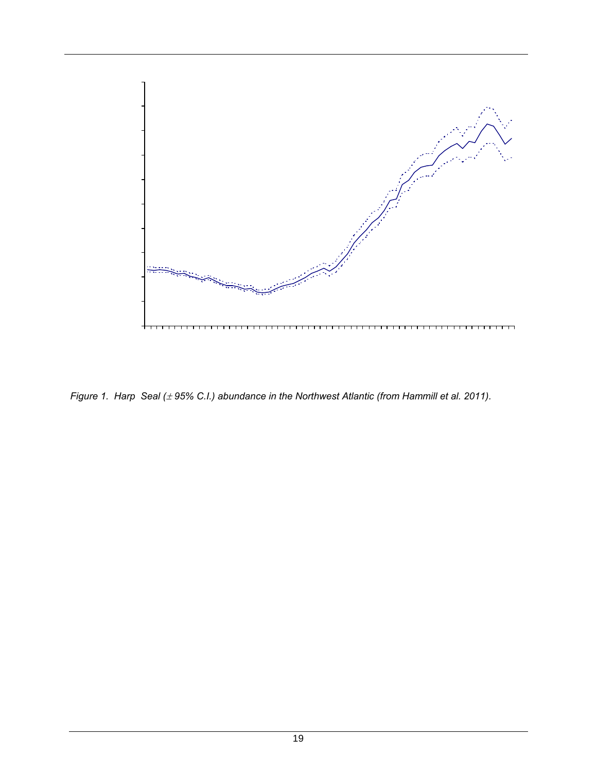

*Figure 1. Harp Seal (* $\pm$  *95% C.I.) abundance in the Northwest Atlantic (from Hammill et al. 2011).*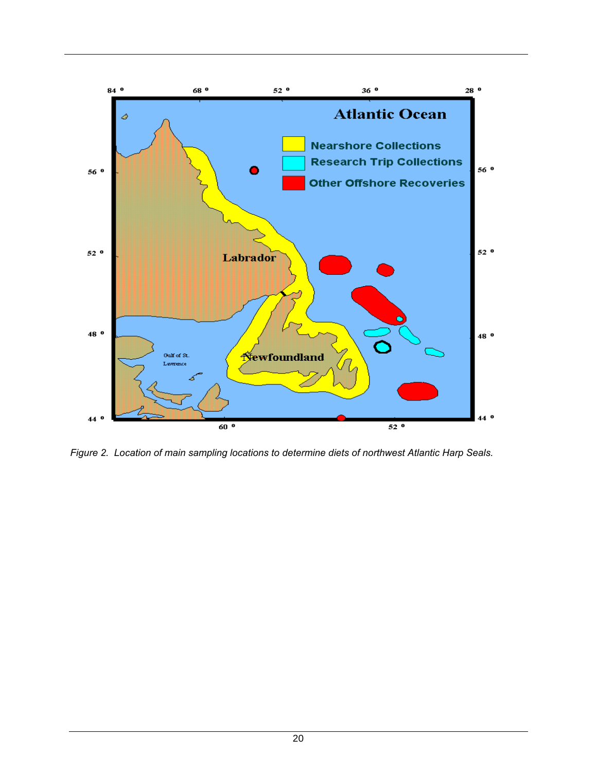

*Figure 2. Location of main sampling locations to determine diets of northwest Atlantic Harp Seals.*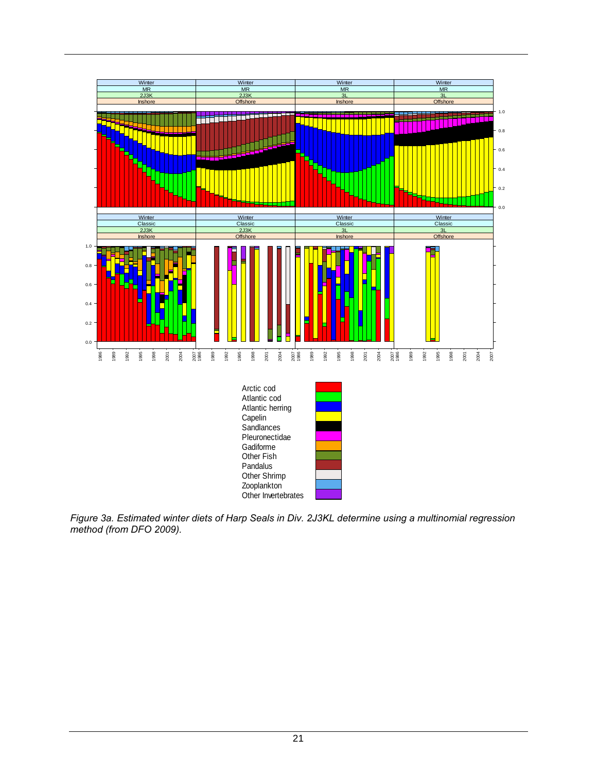

*Figure 3a. Estimated winter diets of Harp Seals in Div. 2J3KL determine using a multinomial regression method (from DFO 2009).*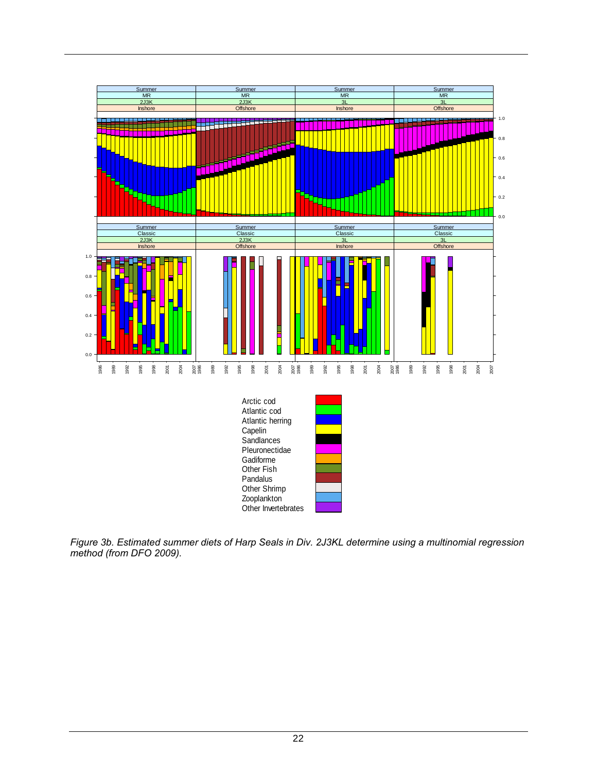

*Figure 3b. Estimated summer diets of Harp Seals in Div. 2J3KL determine using a multinomial regression method (from DFO 2009).*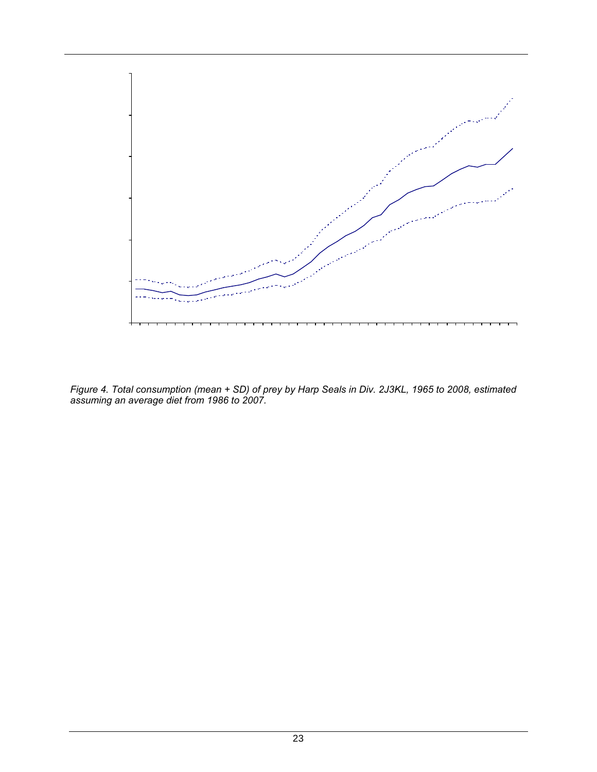

*Figure 4. Total consumption (mean + SD) of prey by Harp Seals in Div. 2J3KL, 1965 to 2008, estimated assuming an average diet from 1986 to 2007.*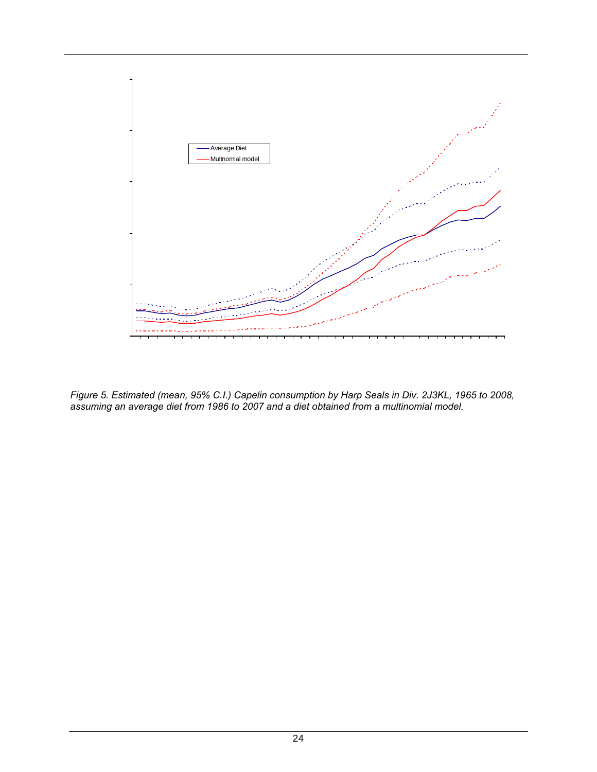

*Figure 5. Estimated (mean, 95% C.I.) Capelin consumption by Harp Seals in Div. 2J3KL, 1965 to 2008, assuming an average diet from 1986 to 2007 and a diet obtained from a multinomial model.*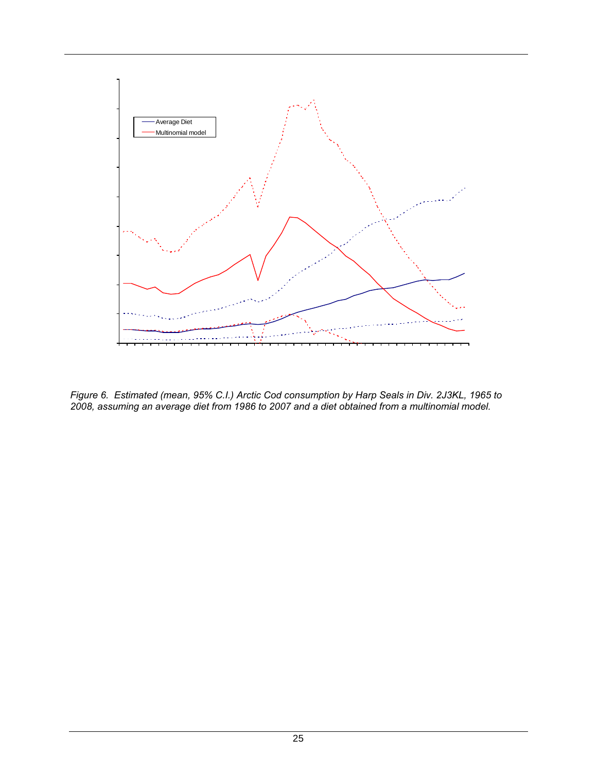

*Figure 6. Estimated (mean, 95% C.I.) Arctic Cod consumption by Harp Seals in Div. 2J3KL, 1965 to 2008, assuming an average diet from 1986 to 2007 and a diet obtained from a multinomial model.*